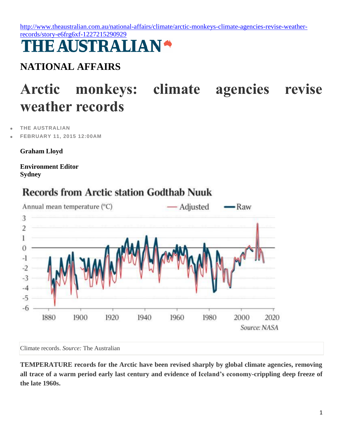[http://www.theaustralian.com.au/national-affairs/climate/arctic-monkeys-climate-agencies-revise-weather](http://www.theaustralian.com.au/national-affairs/climate/arctic-monkeys-climate-agencies-revise-weather-records/story-e6frg6xf-1227215290929)[records/story-e6frg6xf-1227215290929](http://www.theaustralian.com.au/national-affairs/climate/arctic-monkeys-climate-agencies-revise-weather-records/story-e6frg6xf-1227215290929)

## **THE AUSTRALIAN'**

## **NATIONAL AFFAIRS**

## **Arctic monkeys: climate agencies revise weather records**

**[THE AUSTRALIAN](http://www.theaustralian.com.au/)**

**FEBRUARY 11, 2015 12:00AM**

**Graham Lloyd**

**Environment Editor Sydney**



## **Records from Arctic station Godthab Nuuk**

Climate records. *Source:* The Australian

**TEMPERATURE records for the Arctic have been revised sharply by global climate agencies, removing all trace of a warm period early last century and evidence of Iceland's economy-crippling deep freeze of the late 1960s.**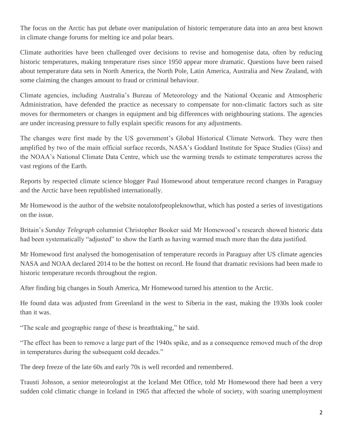The focus on the Arctic has put debate over manipulation of historic temperature data into an area best known in climate change forums for melting ice and polar bears.

Climate authorities have been challenged over decisions to revise and homogenise data, often by reducing historic temperatures, making temperature rises since 1950 appear more dramatic. Questions have been raised about temperature data sets in North America, the North Pole, Latin America, Australia and New Zealand, with some claiming the changes amount to fraud or criminal behaviour.

Climate agencies, including Australia's Bureau of Meteorology and the National Oceanic and Atmospheric Administration, have defended the practice as necessary to compensate for non-climatic factors such as site moves for thermometers or changes in equipment and big differences with neighbouring stations. The agencies are under increasing pressure to fully explain specific reasons for any adjustments.

The changes were first made by the US government's Global Historical Climate Network. They were then amplified by two of the main official surface records, NASA's Goddard Institute for Space Studies (Giss) and the NOAA's National Climate Data Centre, which use the warming trends to estimate temperatures across the vast regions of the Earth.

Reports by respected climate science blogger Paul Homewood about temperature record changes in Paraguay and the Arctic have been republished internationally.

Mr Homewood is the author of the website notalotofpeopleknowthat, which has posted a series of investigations on the issue.

Britain's *Sunday Telegraph* columnist Christopher Booker said Mr Homewood's research showed historic data had been systematically "adjusted" to show the Earth as having warmed much more than the data justified.

Mr Homewood first analysed the homogenisation of temperature records in Paraguay after US climate agencies NASA and NOAA declared 2014 to be the hottest on record. He found that dramatic revisions had been made to historic temperature records throughout the region.

After finding big changes in South America, Mr Homewood turned his attention to the Arctic.

He found data was adjusted from Greenland in the west to Siberia in the east, making the 1930s look cooler than it was.

"The scale and geographic range of these is breathtaking," he said.

"The effect has been to remove a large part of the 1940s spike, and as a consequence removed much of the drop in temperatures during the subsequent cold decades."

The deep freeze of the late 60s and early 70s is well recorded and remembered.

Trausti Johsson, a senior meteorologist at the Iceland Met Office, told Mr Homewood there had been a very sudden cold climatic change in Iceland in 1965 that affected the whole of society, with soaring unemployment